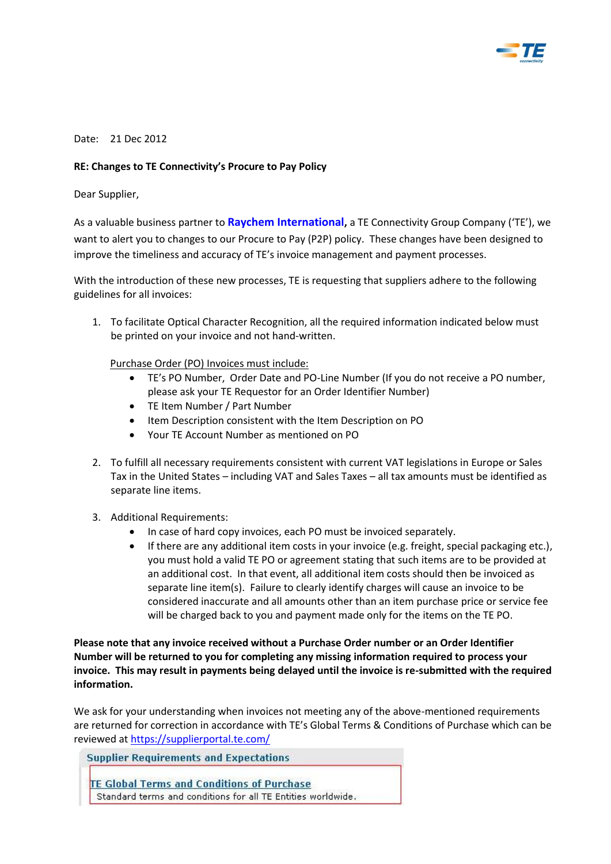

## Date: 21 Dec 2012

## **RE: Changes to TE Connectivity's Procure to Pay Policy**

Dear Supplier,

As a valuable business partner to **Raychem International,** a TE Connectivity Group Company ('TE'), we want to alert you to changes to our Procure to Pay (P2P) policy. These changes have been designed to improve the timeliness and accuracy of TE's invoice management and payment processes.

With the introduction of these new processes, TE is requesting that suppliers adhere to the following guidelines for all invoices:

1. To facilitate Optical Character Recognition, all the required information indicated below must be printed on your invoice and not hand-written.

Purchase Order (PO) Invoices must include:

- TE's PO Number, Order Date and PO-Line Number (If you do not receive a PO number, please ask your TE Requestor for an Order Identifier Number)
- TE Item Number / Part Number
- Item Description consistent with the Item Description on PO
- Your TE Account Number as mentioned on PO
- 2. To fulfill all necessary requirements consistent with current VAT legislations in Europe or Sales Tax in the United States – including VAT and Sales Taxes – all tax amounts must be identified as separate line items.
- 3. Additional Requirements:
	- In case of hard copy invoices, each PO must be invoiced separately.
	- $\bullet$  If there are any additional item costs in your invoice (e.g. freight, special packaging etc.), you must hold a valid TE PO or agreement stating that such items are to be provided at an additional cost. In that event, all additional item costs should then be invoiced as separate line item(s). Failure to clearly identify charges will cause an invoice to be considered inaccurate and all amounts other than an item purchase price or service fee will be charged back to you and payment made only for the items on the TE PO.

**Please note that any invoice received without a Purchase Order number or an Order Identifier Number will be returned to you for completing any missing information required to process your invoice. This may result in payments being delayed until the invoice is re-submitted with the required information.** 

We ask for your understanding when invoices not meeting any of the above-mentioned requirements are returned for correction in accordance with TE's Global Terms & Conditions of Purchase which can be reviewed at<https://supplierportal.te.com/>

**Supplier Requirements and Expectations** 

TE Global Terms and Conditions of Purchase Standard terms and conditions for all TE Entities worldwide.